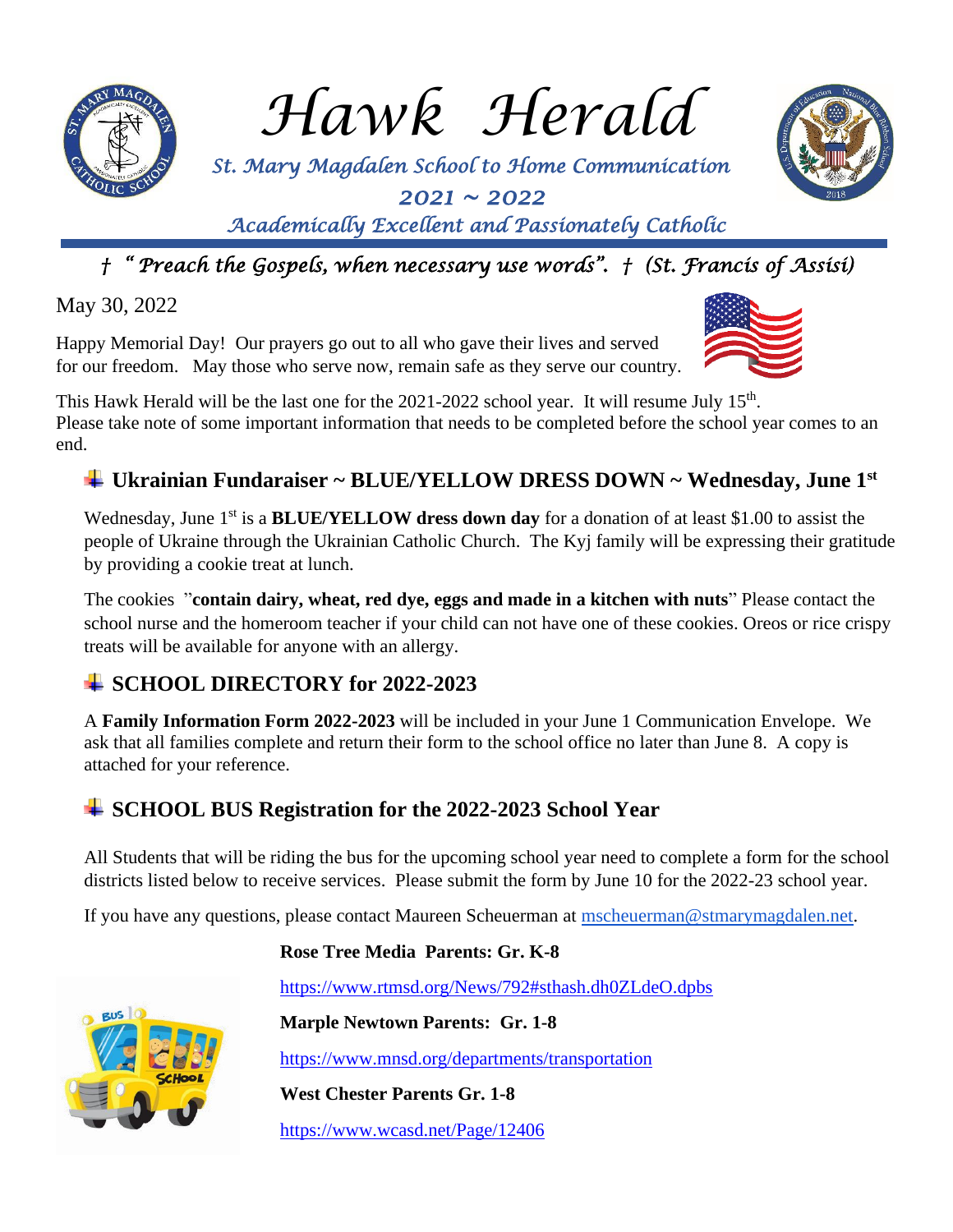

*Hawk Herald*

 *St. Mary Magdalen School to Home Communication 2021 ~ 2022* 



*Academically Excellent and Passionately Catholic* 

# *† " Preach the Gospels, when necessary use words". † (St. Francis of Assisi)*

May 30, 2022

Happy Memorial Day! Our prayers go out to all who gave their lives and served for our freedom. May those who serve now, remain safe as they serve our country.



## **Ukrainian Fundaraiser ~ BLUE/YELLOW DRESS DOWN ~ Wednesday, June 1st**

Wednesday, June 1<sup>st</sup> is a **BLUE/YELLOW dress down day** for a donation of at least \$1.00 to assist the people of Ukraine through the Ukrainian Catholic Church. The Kyj family will be expressing their gratitude by providing a cookie treat at lunch.

The cookies "**contain dairy, wheat, red dye, eggs and made in a kitchen with nuts**" Please contact the school nurse and the homeroom teacher if your child can not have one of these cookies. Oreos or rice crispy treats will be available for anyone with an allergy.

## **SCHOOL DIRECTORY for 2022-2023**

A **Family Information Form 2022-2023** will be included in your June 1 Communication Envelope. We ask that all families complete and return their form to the school office no later than June 8. A copy is attached for your reference.

## **SCHOOL BUS Registration for the 2022-2023 School Year**

All Students that will be riding the bus for the upcoming school year need to complete a form for the school districts listed below to receive services. Please submit the form by June 10 for the 2022-23 school year.

If you have any questions, please contact Maureen Scheuerman at  $m$ scheuerman@stmarymagdalen.net.



**Rose Tree Media Parents: Gr. K-8**

https://www.rtmsd.org/News/792#sthash.dh0ZLdeO.dpbs

**Marple Newtown Parents: Gr. 1-8**

https://www.mnsd.org/departments/transportation

**West Chester Parents Gr. 1-8**

https://www.wcasd.net/Page/12406